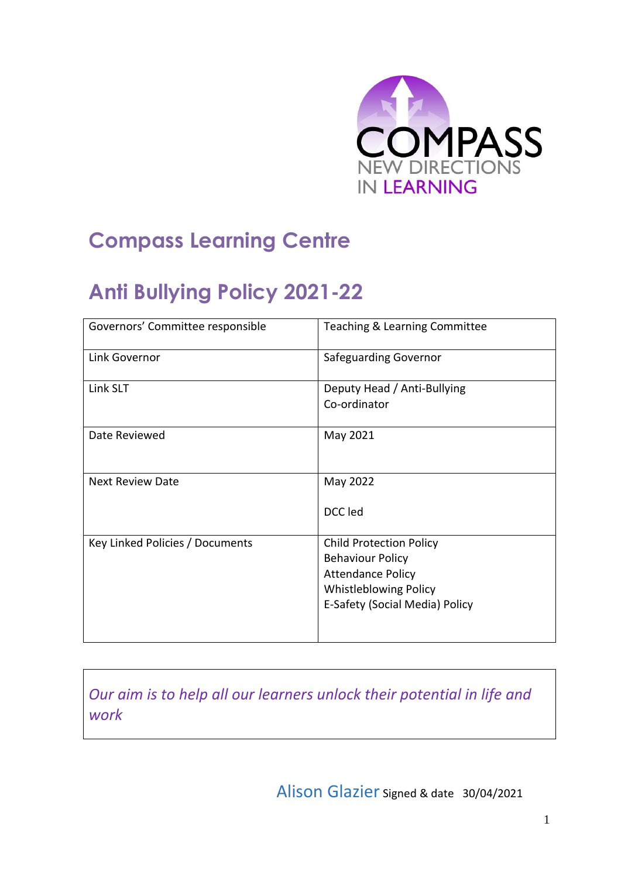

## **Compass Learning Centre**

# **Anti Bullying Policy 2021-22**

| Governors' Committee responsible | Teaching & Learning Committee                                                                                                                           |
|----------------------------------|---------------------------------------------------------------------------------------------------------------------------------------------------------|
| Link Governor                    | <b>Safeguarding Governor</b>                                                                                                                            |
| Link SLT                         | Deputy Head / Anti-Bullying<br>Co-ordinator                                                                                                             |
| Date Reviewed                    | May 2021                                                                                                                                                |
| <b>Next Review Date</b>          | May 2022<br>DCC led                                                                                                                                     |
| Key Linked Policies / Documents  | <b>Child Protection Policy</b><br><b>Behaviour Policy</b><br><b>Attendance Policy</b><br><b>Whistleblowing Policy</b><br>E-Safety (Social Media) Policy |

*Our aim is to help all our learners unlock their potential in life and work*

Alison Glazier Signed & date 30/04/2021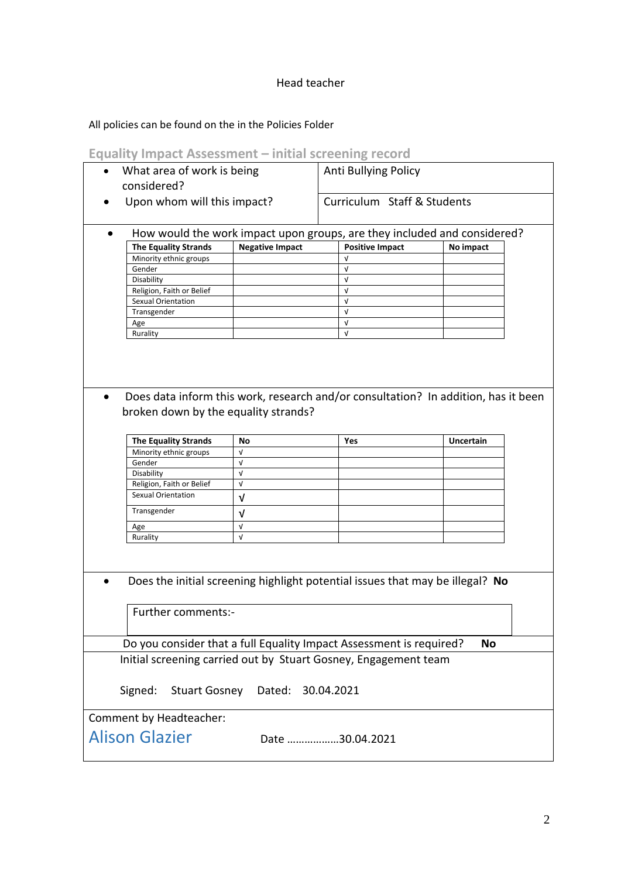## Head teacher

All policies can be found on the in the Policies Folder

#### **Equality Impact Assessment – initial screening record**

| What area of work is being<br>considered?<br>Upon whom will this impact? |                          | Anti Bullying Policy<br>Curriculum Staff & Students |                                                                               |  |
|--------------------------------------------------------------------------|--------------------------|-----------------------------------------------------|-------------------------------------------------------------------------------|--|
|                                                                          |                          |                                                     |                                                                               |  |
| <b>The Equality Strands</b>                                              | <b>Negative Impact</b>   | <b>Positive Impact</b>                              | No impact                                                                     |  |
| Minority ethnic groups                                                   |                          | V                                                   |                                                                               |  |
| Gender                                                                   |                          | V                                                   |                                                                               |  |
| Disability                                                               |                          | $\sqrt{ }$                                          |                                                                               |  |
| Religion, Faith or Belief                                                |                          | V                                                   |                                                                               |  |
| Sexual Orientation                                                       |                          | V                                                   |                                                                               |  |
| Transgender                                                              |                          | $\sqrt{ }$                                          |                                                                               |  |
| Age                                                                      |                          | $\sqrt{ }$                                          |                                                                               |  |
| Rurality                                                                 |                          | $\sqrt{ }$                                          |                                                                               |  |
| broken down by the equality strands?                                     |                          |                                                     |                                                                               |  |
|                                                                          |                          |                                                     |                                                                               |  |
| <b>The Equality Strands</b>                                              | No                       | Yes                                                 | <b>Uncertain</b>                                                              |  |
| Minority ethnic groups                                                   | V                        |                                                     |                                                                               |  |
| Gender                                                                   | $\sqrt{ }$               |                                                     |                                                                               |  |
| Disability                                                               | $\sqrt{ }$               |                                                     |                                                                               |  |
| Religion, Faith or Belief                                                | V                        |                                                     |                                                                               |  |
| <b>Sexual Orientation</b>                                                | v                        |                                                     |                                                                               |  |
| Transgender                                                              |                          |                                                     |                                                                               |  |
|                                                                          | V                        |                                                     |                                                                               |  |
| Age<br>Rurality                                                          | $\sqrt{ }$<br>$\sqrt{ }$ |                                                     |                                                                               |  |
|                                                                          |                          |                                                     | Does the initial screening highlight potential issues that may be illegal? No |  |
| Further comments:-                                                       |                          |                                                     |                                                                               |  |
| Do you consider that a full Equality Impact Assessment is required?      |                          |                                                     | <b>No</b>                                                                     |  |
| Initial screening carried out by Stuart Gosney, Engagement team          |                          |                                                     |                                                                               |  |
| Signed:<br><b>Stuart Gosney</b>                                          | Dated:                   | 30.04.2021                                          |                                                                               |  |
| Comment by Headteacher:                                                  |                          |                                                     |                                                                               |  |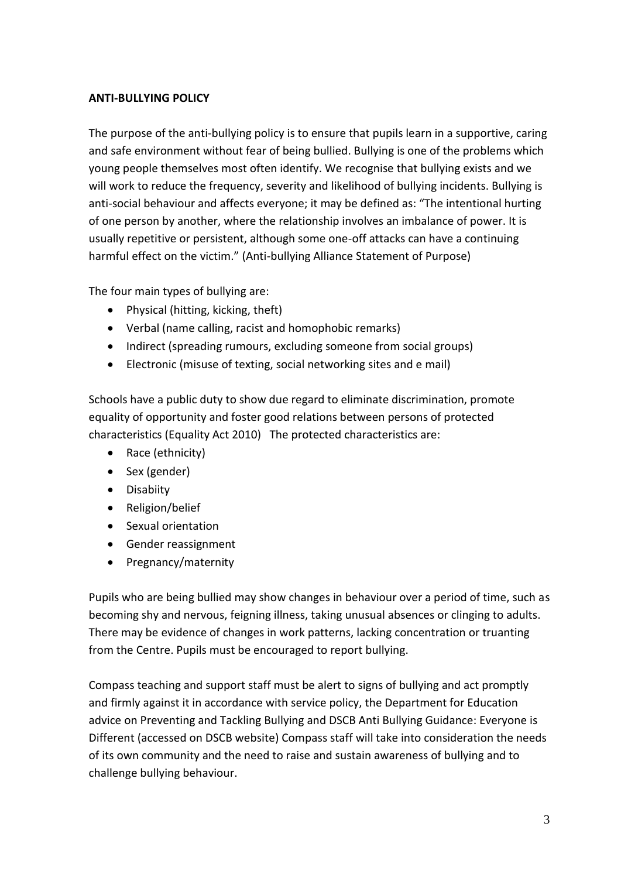#### **ANTI-BULLYING POLICY**

The purpose of the anti-bullying policy is to ensure that pupils learn in a supportive, caring and safe environment without fear of being bullied. Bullying is one of the problems which young people themselves most often identify. We recognise that bullying exists and we will work to reduce the frequency, severity and likelihood of bullying incidents. Bullying is anti-social behaviour and affects everyone; it may be defined as: "The intentional hurting of one person by another, where the relationship involves an imbalance of power. It is usually repetitive or persistent, although some one-off attacks can have a continuing harmful effect on the victim." (Anti-bullying Alliance Statement of Purpose)

The four main types of bullying are:

- Physical (hitting, kicking, theft)
- Verbal (name calling, racist and homophobic remarks)
- Indirect (spreading rumours, excluding someone from social groups)
- Electronic (misuse of texting, social networking sites and e mail)

Schools have a public duty to show due regard to eliminate discrimination, promote equality of opportunity and foster good relations between persons of protected characteristics (Equality Act 2010) The protected characteristics are:

- Race (ethnicity)
- Sex (gender)
- **•** Disabiity
- Religion/belief
- Sexual orientation
- Gender reassignment
- Pregnancy/maternity

Pupils who are being bullied may show changes in behaviour over a period of time, such as becoming shy and nervous, feigning illness, taking unusual absences or clinging to adults. There may be evidence of changes in work patterns, lacking concentration or truanting from the Centre. Pupils must be encouraged to report bullying.

Compass teaching and support staff must be alert to signs of bullying and act promptly and firmly against it in accordance with service policy, the Department for Education advice on Preventing and Tackling Bullying and DSCB Anti Bullying Guidance: Everyone is Different (accessed on DSCB website) Compass staff will take into consideration the needs of its own community and the need to raise and sustain awareness of bullying and to challenge bullying behaviour.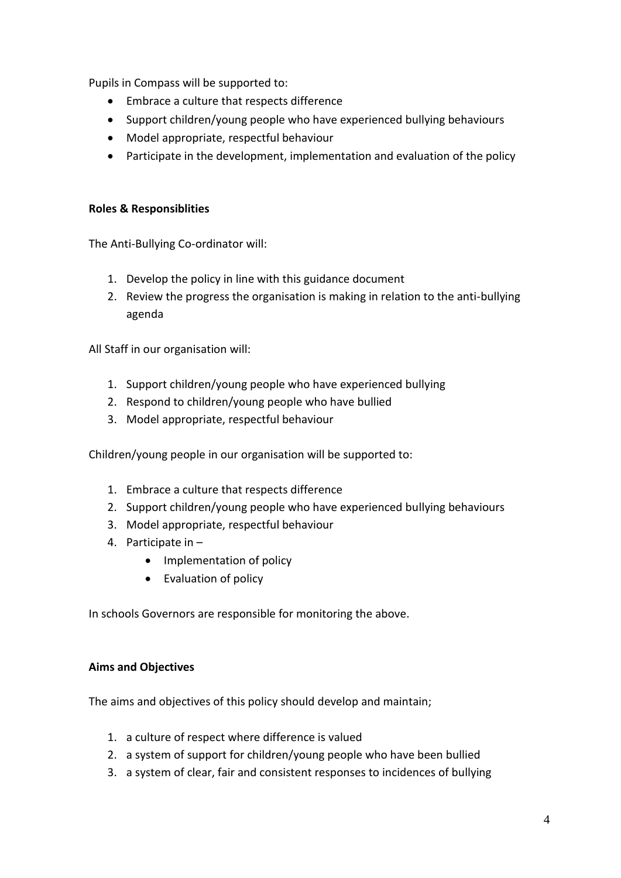Pupils in Compass will be supported to:

- Embrace a culture that respects difference
- Support children/young people who have experienced bullying behaviours
- Model appropriate, respectful behaviour
- Participate in the development, implementation and evaluation of the policy

## **Roles & Responsiblities**

The Anti-Bullying Co-ordinator will:

- 1. Develop the policy in line with this guidance document
- 2. Review the progress the organisation is making in relation to the anti-bullying agenda

All Staff in our organisation will:

- 1. Support children/young people who have experienced bullying
- 2. Respond to children/young people who have bullied
- 3. Model appropriate, respectful behaviour

Children/young people in our organisation will be supported to:

- 1. Embrace a culture that respects difference
- 2. Support children/young people who have experienced bullying behaviours
- 3. Model appropriate, respectful behaviour
- 4. Participate in
	- Implementation of policy
	- Evaluation of policy

In schools Governors are responsible for monitoring the above.

#### **Aims and Objectives**

The aims and objectives of this policy should develop and maintain;

- 1. a culture of respect where difference is valued
- 2. a system of support for children/young people who have been bullied
- 3. a system of clear, fair and consistent responses to incidences of bullying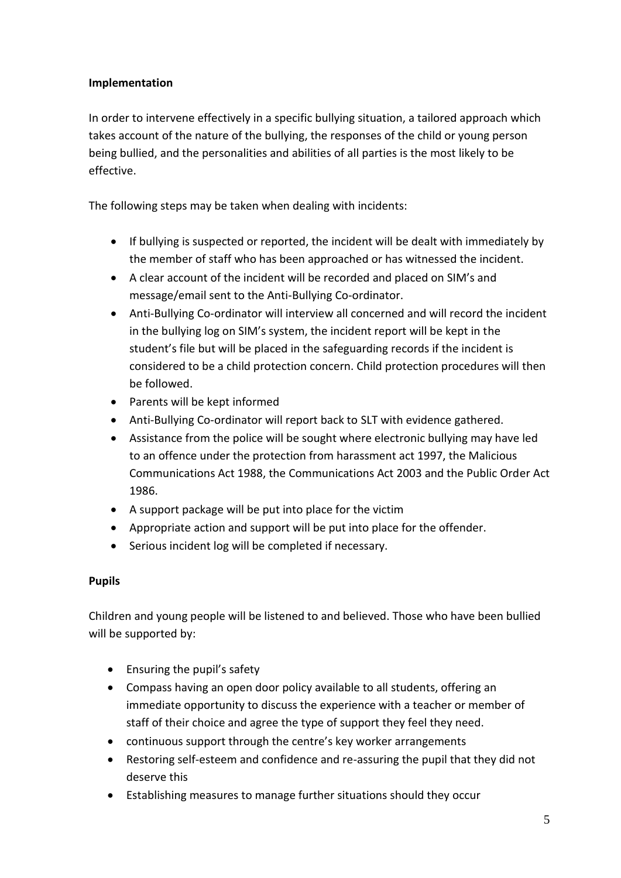## **Implementation**

In order to intervene effectively in a specific bullying situation, a tailored approach which takes account of the nature of the bullying, the responses of the child or young person being bullied, and the personalities and abilities of all parties is the most likely to be effective.

The following steps may be taken when dealing with incidents:

- If bullying is suspected or reported, the incident will be dealt with immediately by the member of staff who has been approached or has witnessed the incident.
- A clear account of the incident will be recorded and placed on SIM's and message/email sent to the Anti-Bullying Co-ordinator.
- Anti-Bullying Co-ordinator will interview all concerned and will record the incident in the bullying log on SIM's system, the incident report will be kept in the student's file but will be placed in the safeguarding records if the incident is considered to be a child protection concern. Child protection procedures will then be followed.
- Parents will be kept informed
- Anti-Bullying Co-ordinator will report back to SLT with evidence gathered.
- Assistance from the police will be sought where electronic bullying may have led to an offence under the protection from harassment act 1997, the Malicious Communications Act 1988, the Communications Act 2003 and the Public Order Act 1986.
- A support package will be put into place for the victim
- Appropriate action and support will be put into place for the offender.
- Serious incident log will be completed if necessary.

## **Pupils**

Children and young people will be listened to and believed. Those who have been bullied will be supported by:

- Ensuring the pupil's safety
- Compass having an open door policy available to all students, offering an immediate opportunity to discuss the experience with a teacher or member of staff of their choice and agree the type of support they feel they need.
- continuous support through the centre's key worker arrangements
- Restoring self-esteem and confidence and re-assuring the pupil that they did not deserve this
- Establishing measures to manage further situations should they occur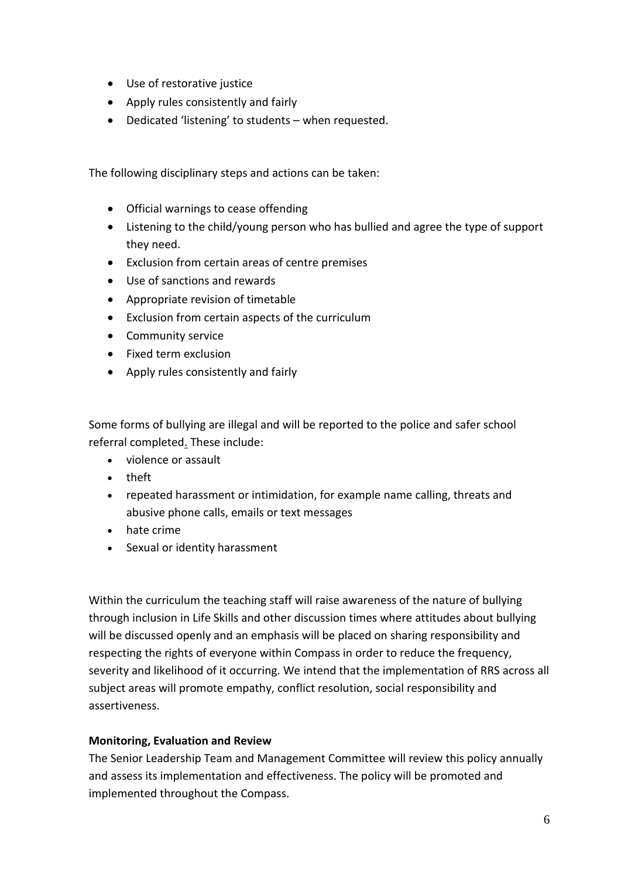- Use of restorative justice
- Apply rules consistently and fairly
- Dedicated 'listening' to students when requested.

The following disciplinary steps and actions can be taken:

- Official warnings to cease offending
- Listening to the child/young person who has bullied and agree the type of support they need.
- Exclusion from certain areas of centre premises
- Use of sanctions and rewards
- Appropriate revision of timetable
- Exclusion from certain aspects of the curriculum
- Community service
- Fixed term exclusion
- Apply rules consistently and fairly

Some forms of bullying are illegal and will be [reported to the police](http://www.police.uk/) and safer school [referral completed.](http://www.police.uk/) These include:

- violence or assault
- theft
- repeated harassment or intimidation, for example name calling, threats and abusive phone calls, emails or text messages
- hate crime
- Sexual or identity harassment

Within the curriculum the teaching staff will raise awareness of the nature of bullying through inclusion in Life Skills and other discussion times where attitudes about bullying will be discussed openly and an emphasis will be placed on sharing responsibility and respecting the rights of everyone within Compass in order to reduce the frequency, severity and likelihood of it occurring. We intend that the implementation of RRS across all subject areas will promote empathy, conflict resolution, social responsibility and assertiveness.

#### **Monitoring, Evaluation and Review**

The Senior Leadership Team and Management Committee will review this policy annually and assess its implementation and effectiveness. The policy will be promoted and implemented throughout the Compass.